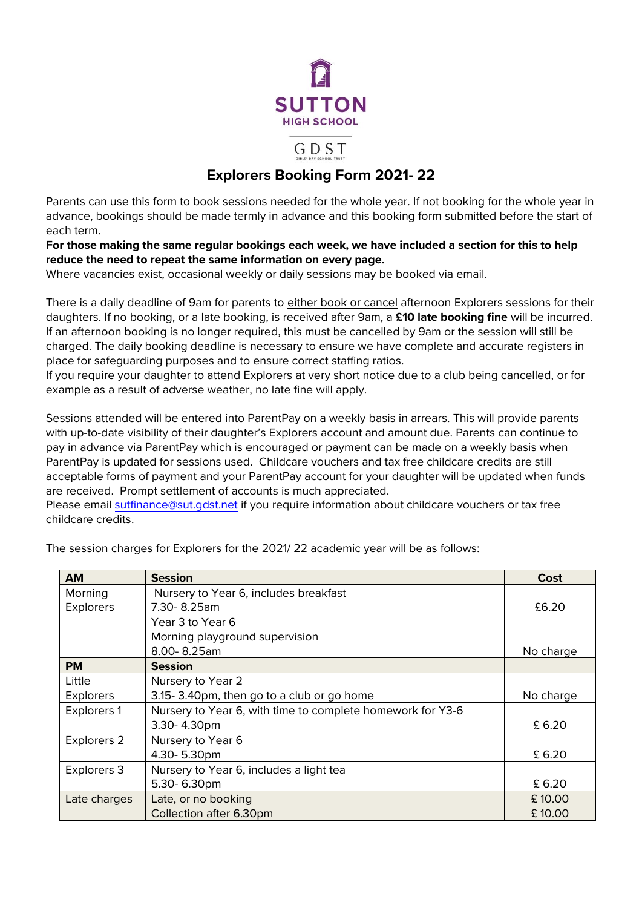

GDST

# **Explorers Booking Form 2021- 22**

Parents can use this form to book sessions needed for the whole year. If not booking for the whole year in advance, bookings should be made termly in advance and this booking form submitted before the start of each term.

**For those making the same regular bookings each week, we have included a section for this to help reduce the need to repeat the same information on every page.**

Where vacancies exist, occasional weekly or daily sessions may be booked via email.

There is a daily deadline of 9am for parents to either book or cancel afternoon Explorers sessions for their daughters. If no booking, or a late booking, is received after 9am, a **£10 late booking fine** will be incurred. If an afternoon booking is no longer required, this must be cancelled by 9am or the session will still be charged. The daily booking deadline is necessary to ensure we have complete and accurate registers in place for safeguarding purposes and to ensure correct staffing ratios.

If you require your daughter to attend Explorers at very short notice due to a club being cancelled, or for example as a result of adverse weather, no late fine will apply.

Sessions attended will be entered into ParentPay on a weekly basis in arrears. This will provide parents with up-to-date visibility of their daughter's Explorers account and amount due. Parents can continue to pay in advance via ParentPay which is encouraged or payment can be made on a weekly basis when ParentPay is updated for sessions used. Childcare vouchers and tax free childcare credits are still acceptable forms of payment and your ParentPay account for your daughter will be updated when funds are received. Prompt settlement of accounts is much appreciated.

Please email [sutfinance@sut.gdst.net](mailto:sutfinance@sut.gdst.net) if you require information about childcare vouchers or tax free childcare credits.

| <b>AM</b>          | <b>Session</b>                                             | Cost      |
|--------------------|------------------------------------------------------------|-----------|
| Morning            | Nursery to Year 6, includes breakfast                      |           |
| <b>Explorers</b>   | 7.30-8.25am                                                | £6.20     |
|                    | Year 3 to Year 6                                           |           |
|                    | Morning playground supervision                             |           |
|                    | 8.00-8.25am                                                | No charge |
| <b>PM</b>          | <b>Session</b>                                             |           |
| Little             | Nursery to Year 2                                          |           |
| <b>Explorers</b>   | 3.15-3.40pm, then go to a club or go home                  | No charge |
| <b>Explorers 1</b> | Nursery to Year 6, with time to complete homework for Y3-6 |           |
|                    | 3.30-4.30pm                                                | £6.20     |
| Explorers 2        | Nursery to Year 6                                          |           |
|                    | 4.30-5.30pm                                                | £6.20     |
| Explorers 3        | Nursery to Year 6, includes a light tea                    |           |
|                    | 5.30-6.30pm                                                |           |
| Late charges       | Late, or no booking                                        | £10.00    |
|                    | Collection after 6.30pm                                    | £10.00    |

The session charges for Explorers for the 2021/ 22 academic year will be as follows: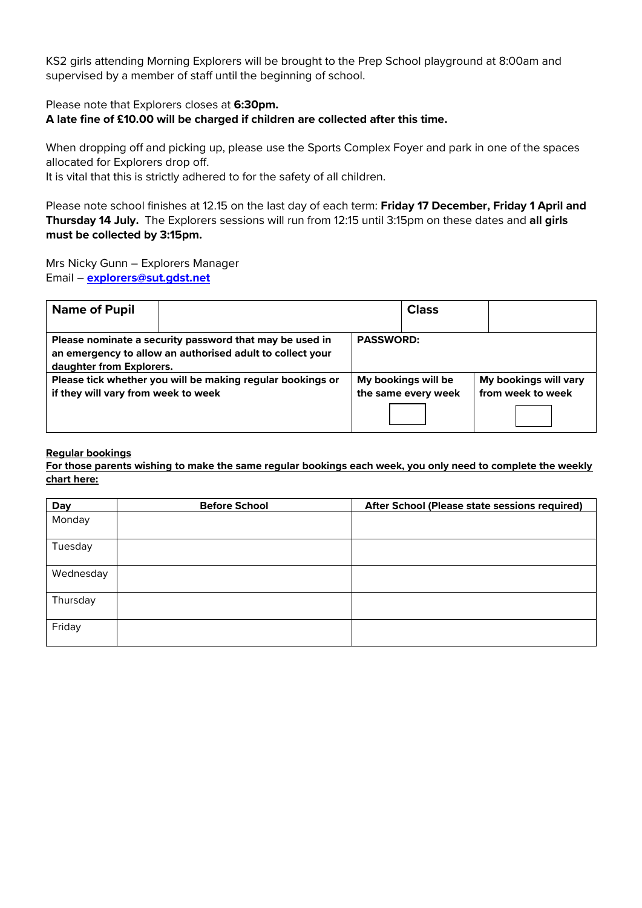KS2 girls attending Morning Explorers will be brought to the Prep School playground at 8:00am and supervised by a member of staff until the beginning of school.

Please note that Explorers closes at **6:30pm.** 

**A late fine of £10.00 will be charged if children are collected after this time.**

When dropping off and picking up, please use the Sports Complex Foyer and park in one of the spaces allocated for Explorers drop off.

It is vital that this is strictly adhered to for the safety of all children.

Please note school finishes at 12.15 on the last day of each term: **Friday 17 December, Friday 1 April and Thursday 14 July.** The Explorers sessions will run from 12:15 until 3:15pm on these dates and **all girls must be collected by 3:15pm.** 

Mrs Nicky Gunn – Explorers Manager Email – **[explorers@sut.gdst.net](mailto:explorers@sut.gdst.net)**

| <b>Name of Pupil</b>                                                                                                                             |  |                  | <b>Class</b>                               |                                            |
|--------------------------------------------------------------------------------------------------------------------------------------------------|--|------------------|--------------------------------------------|--------------------------------------------|
| Please nominate a security password that may be used in<br>an emergency to allow an authorised adult to collect your<br>daughter from Explorers. |  | <b>PASSWORD:</b> |                                            |                                            |
| Please tick whether you will be making regular bookings or<br>if they will vary from week to week                                                |  |                  | My bookings will be<br>the same every week | My bookings will vary<br>from week to week |

# **Regular bookings**

**For those parents wishing to make the same regular bookings each week, you only need to complete the weekly chart here:**

| Day       | <b>Before School</b> | After School (Please state sessions required) |
|-----------|----------------------|-----------------------------------------------|
| Monday    |                      |                                               |
|           |                      |                                               |
| Tuesday   |                      |                                               |
| Wednesday |                      |                                               |
| Thursday  |                      |                                               |
| Friday    |                      |                                               |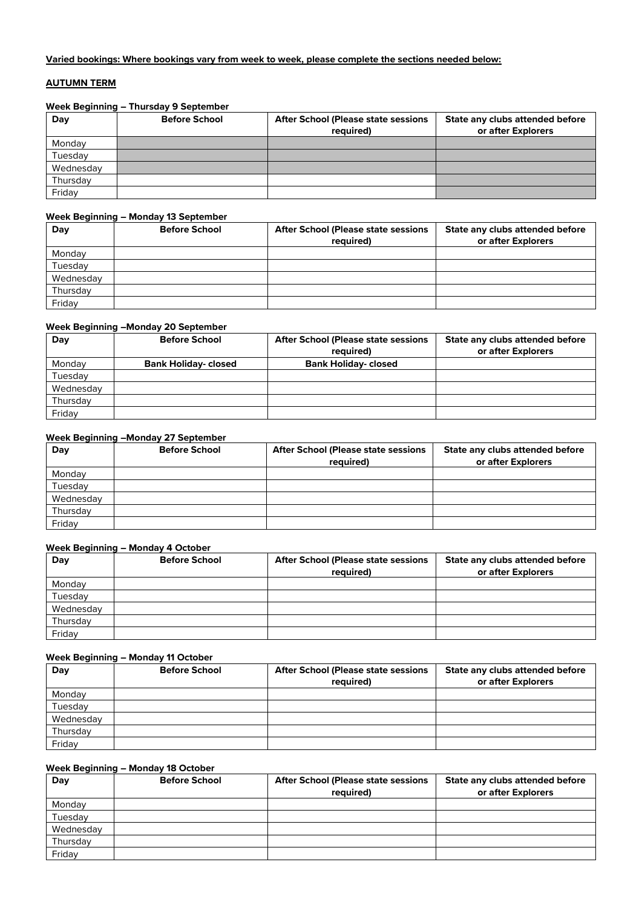#### **Varied bookings: Where bookings vary from week to week, please complete the sections needed below:**

# **AUTUMN TERM**

#### **Week Beginning – Thursday 9 September**

| Day       | <b>Before School</b> | <b>After School (Please state sessions)</b><br>required) | State any clubs attended before<br>or after Explorers |
|-----------|----------------------|----------------------------------------------------------|-------------------------------------------------------|
| Monday    |                      |                                                          |                                                       |
| Tuesdav   |                      |                                                          |                                                       |
| Wednesday |                      |                                                          |                                                       |
| Thursday  |                      |                                                          |                                                       |
| Friday    |                      |                                                          |                                                       |

#### **Week Beginning – Monday 13 September**

| Day       | <b>Before School</b> | <b>After School (Please state sessions</b><br>required) | State any clubs attended before<br>or after Explorers |
|-----------|----------------------|---------------------------------------------------------|-------------------------------------------------------|
| Monday    |                      |                                                         |                                                       |
| Tuesday   |                      |                                                         |                                                       |
| Wednesday |                      |                                                         |                                                       |
| Thursday  |                      |                                                         |                                                       |
| Friday    |                      |                                                         |                                                       |

#### **Week Beginning –Monday 20 September**

| Day       | <b>Before School</b>        | <b>After School (Please state sessions)</b> | State any clubs attended before |
|-----------|-----------------------------|---------------------------------------------|---------------------------------|
|           |                             | required)                                   | or after Explorers              |
| Monday    | <b>Bank Holiday- closed</b> | <b>Bank Holiday-closed</b>                  |                                 |
| Tuesday   |                             |                                             |                                 |
| Wednesday |                             |                                             |                                 |
| Thursday  |                             |                                             |                                 |
| Friday    |                             |                                             |                                 |

# **Week Beginning –Monday 27 September**

| Day       | <b>Before School</b> | <b>After School (Please state sessions)</b> | State any clubs attended before |
|-----------|----------------------|---------------------------------------------|---------------------------------|
|           |                      | required)                                   | or after Explorers              |
| Monday    |                      |                                             |                                 |
| Tuesday   |                      |                                             |                                 |
| Wednesday |                      |                                             |                                 |
| Thursday  |                      |                                             |                                 |
| Friday    |                      |                                             |                                 |

#### **Week Beginning – Monday 4 October**

| Day       | <b>Before School</b> | <b>After School (Please state sessions)</b><br>required) | State any clubs attended before<br>or after Explorers |
|-----------|----------------------|----------------------------------------------------------|-------------------------------------------------------|
| Monday    |                      |                                                          |                                                       |
| Tuesday   |                      |                                                          |                                                       |
| Wednesday |                      |                                                          |                                                       |
| Thursday  |                      |                                                          |                                                       |
| Friday    |                      |                                                          |                                                       |

# **Week Beginning – Monday 11 October**

| Day       | <b>Before School</b> | <b>After School (Please state sessions</b><br>required) | State any clubs attended before<br>or after Explorers |
|-----------|----------------------|---------------------------------------------------------|-------------------------------------------------------|
| Monday    |                      |                                                         |                                                       |
| Tuesday   |                      |                                                         |                                                       |
| Wednesday |                      |                                                         |                                                       |
| Thursday  |                      |                                                         |                                                       |
| Friday    |                      |                                                         |                                                       |

#### **Week Beginning – Monday 18 October**

| Day       | <b>Before School</b> | <b>After School (Please state sessions</b><br>required) | State any clubs attended before<br>or after Explorers |
|-----------|----------------------|---------------------------------------------------------|-------------------------------------------------------|
| Monday    |                      |                                                         |                                                       |
| Tuesday   |                      |                                                         |                                                       |
| Wednesday |                      |                                                         |                                                       |
| Thursday  |                      |                                                         |                                                       |
| Friday    |                      |                                                         |                                                       |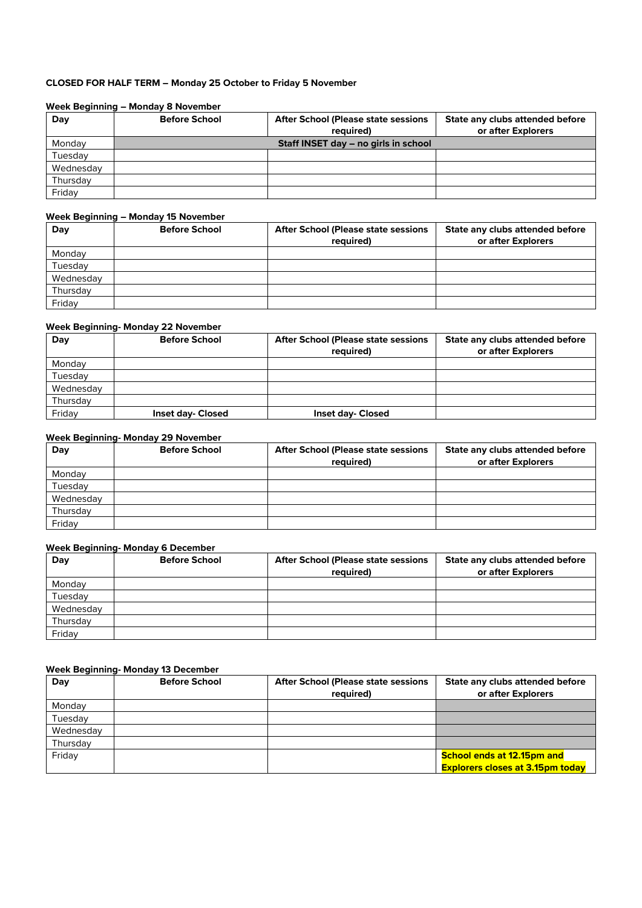# **CLOSED FOR HALF TERM – Monday 25 October to Friday 5 November**

#### **Week Beginning – Monday 8 November**

| Day       | <b>Before School</b> | <b>After School (Please state sessions)</b> | State any clubs attended before |
|-----------|----------------------|---------------------------------------------|---------------------------------|
|           |                      | required)                                   | or after Explorers              |
| Monday    |                      | Staff INSET day - no girls in school        |                                 |
| Tuesday   |                      |                                             |                                 |
| Wednesday |                      |                                             |                                 |
| Thursday  |                      |                                             |                                 |
| Friday    |                      |                                             |                                 |

#### **Week Beginning – Monday 15 November**

| Day       | <b>Before School</b> | <b>After School (Please state sessions</b><br>required) | State any clubs attended before<br>or after Explorers |
|-----------|----------------------|---------------------------------------------------------|-------------------------------------------------------|
| Monday    |                      |                                                         |                                                       |
| Tuesday   |                      |                                                         |                                                       |
| Wednesday |                      |                                                         |                                                       |
| Thursday  |                      |                                                         |                                                       |
| Friday    |                      |                                                         |                                                       |

#### **Week Beginning- Monday 22 November**

| Day       | <b>Before School</b>     | <b>After School (Please state sessions)</b><br>required) | State any clubs attended before<br>or after Explorers |
|-----------|--------------------------|----------------------------------------------------------|-------------------------------------------------------|
| Monday    |                          |                                                          |                                                       |
| Tuesday   |                          |                                                          |                                                       |
| Wednesday |                          |                                                          |                                                       |
| Thursday  |                          |                                                          |                                                       |
| Friday    | <b>Inset day- Closed</b> | <b>Inset day- Closed</b>                                 |                                                       |

# **Week Beginning- Monday 29 November**

| Day       | <b>Before School</b> | <b>After School (Please state sessions</b> | State any clubs attended before |
|-----------|----------------------|--------------------------------------------|---------------------------------|
|           |                      | required)                                  | or after Explorers              |
| Monday    |                      |                                            |                                 |
| Tuesday   |                      |                                            |                                 |
| Wednesday |                      |                                            |                                 |
| Thursday  |                      |                                            |                                 |
| Friday    |                      |                                            |                                 |

# **Week Beginning- Monday 6 December**

| Day       | <b>Before School</b> | <b>After School (Please state sessions</b><br>required) | State any clubs attended before<br>or after Explorers |
|-----------|----------------------|---------------------------------------------------------|-------------------------------------------------------|
| Monday    |                      |                                                         |                                                       |
| Tuesday   |                      |                                                         |                                                       |
| Wednesday |                      |                                                         |                                                       |
| Thursday  |                      |                                                         |                                                       |
| Fridav    |                      |                                                         |                                                       |

# **Week Beginning- Monday 13 December**

| Day       | <b>Before School</b> | <b>After School (Please state sessions)</b> | State any clubs attended before         |
|-----------|----------------------|---------------------------------------------|-----------------------------------------|
|           |                      | required)                                   | or after Explorers                      |
| Monday    |                      |                                             |                                         |
| Tuesday   |                      |                                             |                                         |
| Wednesday |                      |                                             |                                         |
| Thursday  |                      |                                             |                                         |
| Friday    |                      |                                             | <b>School ends at 12.15pm and</b>       |
|           |                      |                                             | <b>Explorers closes at 3.15pm today</b> |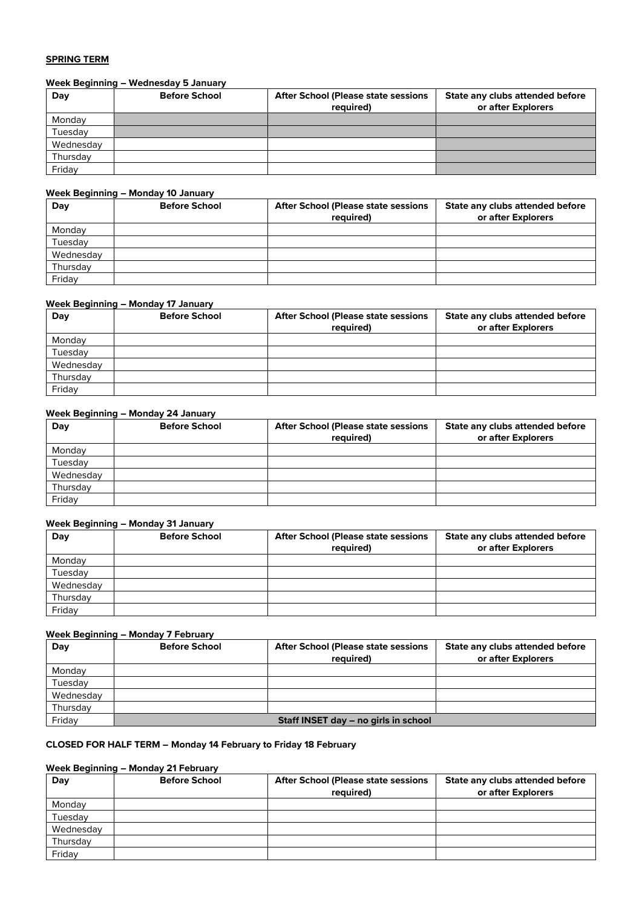#### **SPRING TERM**

# **Week Beginning – Wednesday 5 January**

| Day       | <b>Before School</b> | <b>After School (Please state sessions)</b><br>required) | State any clubs attended before<br>or after Explorers |
|-----------|----------------------|----------------------------------------------------------|-------------------------------------------------------|
| Monday    |                      |                                                          |                                                       |
| Tuesday   |                      |                                                          |                                                       |
| Wednesday |                      |                                                          |                                                       |
| Thursday  |                      |                                                          |                                                       |
| Friday    |                      |                                                          |                                                       |

#### **Week Beginning – Monday 10 January**

| Day       | <b>Before School</b> | <b>After School (Please state sessions)</b><br>required) | State any clubs attended before<br>or after Explorers |
|-----------|----------------------|----------------------------------------------------------|-------------------------------------------------------|
| Monday    |                      |                                                          |                                                       |
| Tuesday   |                      |                                                          |                                                       |
| Wednesday |                      |                                                          |                                                       |
| Thursday  |                      |                                                          |                                                       |
| Friday    |                      |                                                          |                                                       |

### **Week Beginning – Monday 17 January**

| Day       | <b>Before School</b> | <b>After School (Please state sessions)</b><br>required) | State any clubs attended before<br>or after Explorers |
|-----------|----------------------|----------------------------------------------------------|-------------------------------------------------------|
| Monday    |                      |                                                          |                                                       |
| Tuesday   |                      |                                                          |                                                       |
| Wednesday |                      |                                                          |                                                       |
| Thursday  |                      |                                                          |                                                       |
| Friday    |                      |                                                          |                                                       |

#### **Week Beginning – Monday 24 January**

| Day       | <b>Before School</b> | <b>After School (Please state sessions</b><br>required) | State any clubs attended before<br>or after Explorers |
|-----------|----------------------|---------------------------------------------------------|-------------------------------------------------------|
| Monday    |                      |                                                         |                                                       |
| Tuesday   |                      |                                                         |                                                       |
| Wednesday |                      |                                                         |                                                       |
| Thursday  |                      |                                                         |                                                       |
| Friday    |                      |                                                         |                                                       |

# **Week Beginning – Monday 31 January**

| Day       | <b>Before School</b> | <b>After School (Please state sessions)</b><br>required) | State any clubs attended before<br>or after Explorers |
|-----------|----------------------|----------------------------------------------------------|-------------------------------------------------------|
| Monday    |                      |                                                          |                                                       |
| Tuesday   |                      |                                                          |                                                       |
| Wednesday |                      |                                                          |                                                       |
| Thursday  |                      |                                                          |                                                       |
| Friday    |                      |                                                          |                                                       |

# **Week Beginning – Monday 7 February**

| Day       | <b>Before School</b> | <b>After School (Please state sessions)</b><br>required) | State any clubs attended before<br>or after Explorers |
|-----------|----------------------|----------------------------------------------------------|-------------------------------------------------------|
| Mondav    |                      |                                                          |                                                       |
| Tuesday   |                      |                                                          |                                                       |
| Wednesday |                      |                                                          |                                                       |
| Thursday  |                      |                                                          |                                                       |
| Friday    |                      | Staff INSET day – no girls in school                     |                                                       |

# **CLOSED FOR HALF TERM – Monday 14 February to Friday 18 February**

#### **Week Beginning – Monday 21 February**

| Day       | <b>Before School</b> | <b>After School (Please state sessions</b> | State any clubs attended before |
|-----------|----------------------|--------------------------------------------|---------------------------------|
|           |                      | required)                                  | or after Explorers              |
| Monday    |                      |                                            |                                 |
| Tuesday   |                      |                                            |                                 |
| Wednesday |                      |                                            |                                 |
| Thursday  |                      |                                            |                                 |
| Friday    |                      |                                            |                                 |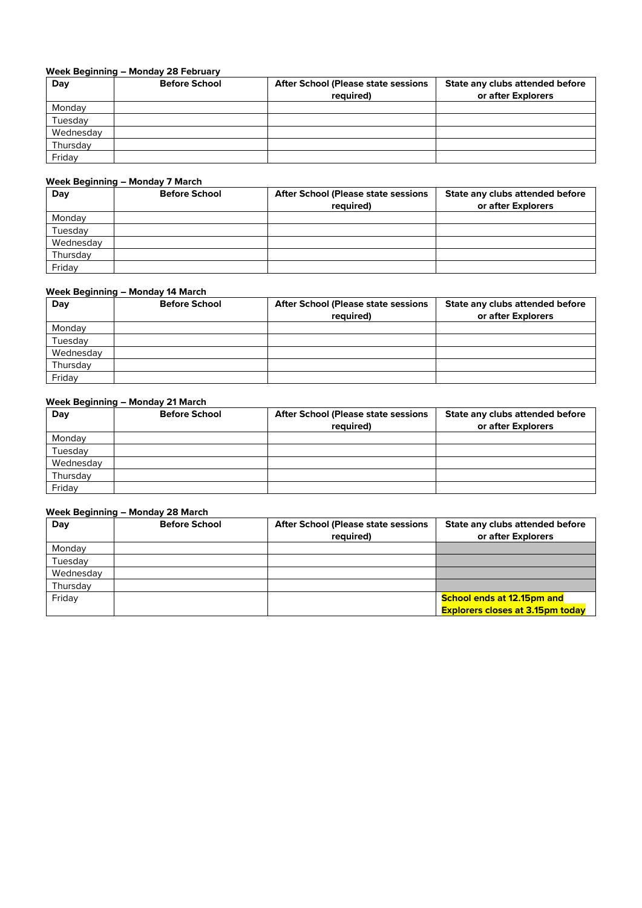# **Week Beginning – Monday 28 February**

| Day       | <b>Before School</b> | <b>After School (Please state sessions)</b><br>required) | State any clubs attended before<br>or after Explorers |
|-----------|----------------------|----------------------------------------------------------|-------------------------------------------------------|
| Monday    |                      |                                                          |                                                       |
| Tuesday   |                      |                                                          |                                                       |
| Wednesday |                      |                                                          |                                                       |
| Thursday  |                      |                                                          |                                                       |
| Friday    |                      |                                                          |                                                       |

#### **Week Beginning – Monday 7 March**

| Day       | <b>Before School</b> | <b>After School (Please state sessions</b><br>required) | State any clubs attended before<br>or after Explorers |
|-----------|----------------------|---------------------------------------------------------|-------------------------------------------------------|
| Monday    |                      |                                                         |                                                       |
| Tuesday   |                      |                                                         |                                                       |
| Wednesday |                      |                                                         |                                                       |
| Thursday  |                      |                                                         |                                                       |
| Friday    |                      |                                                         |                                                       |

# **Week Beginning – Monday 14 March**

| Day       | <b>Before School</b> | <b>After School (Please state sessions)</b><br>required) | State any clubs attended before<br>or after Explorers |
|-----------|----------------------|----------------------------------------------------------|-------------------------------------------------------|
| Monday    |                      |                                                          |                                                       |
| Tuesday   |                      |                                                          |                                                       |
| Wednesday |                      |                                                          |                                                       |
| Thursday  |                      |                                                          |                                                       |
| Friday    |                      |                                                          |                                                       |

# **Week Beginning – Monday 21 March**

| Day       | <b>Before School</b> | <b>After School (Please state sessions</b><br>required) | State any clubs attended before<br>or after Explorers |
|-----------|----------------------|---------------------------------------------------------|-------------------------------------------------------|
| Monday    |                      |                                                         |                                                       |
| Tuesday   |                      |                                                         |                                                       |
| Wednesday |                      |                                                         |                                                       |
| Thursday  |                      |                                                         |                                                       |
| Friday    |                      |                                                         |                                                       |

# **Week Beginning – Monday 28 March**

| Day       | <b>Before School</b> | <b>After School (Please state sessions)</b><br>required) | State any clubs attended before<br>or after Explorers |
|-----------|----------------------|----------------------------------------------------------|-------------------------------------------------------|
| Monday    |                      |                                                          |                                                       |
| Tuesdav   |                      |                                                          |                                                       |
| Wednesday |                      |                                                          |                                                       |
| Thursday  |                      |                                                          |                                                       |
| Friday    |                      |                                                          | <b>School ends at 12.15pm and</b>                     |
|           |                      |                                                          | <b>Explorers closes at 3.15pm today</b>               |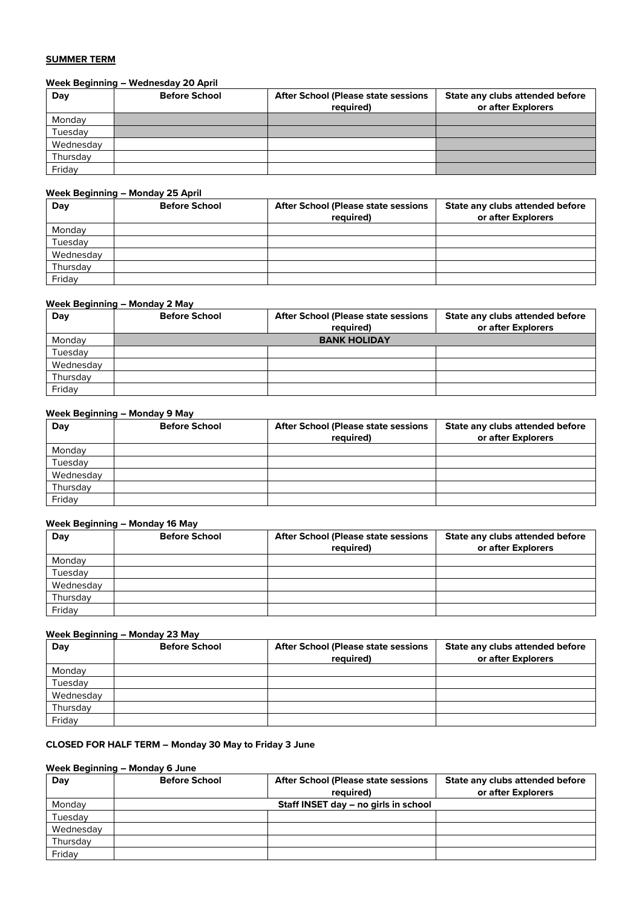#### **SUMMER TERM**

# **Week Beginning – Wednesday 20 April**

| Day       | <b>Before School</b> | <b>After School (Please state sessions)</b><br>required) | State any clubs attended before<br>or after Explorers |
|-----------|----------------------|----------------------------------------------------------|-------------------------------------------------------|
| Monday    |                      |                                                          |                                                       |
| Tuesday   |                      |                                                          |                                                       |
| Wednesday |                      |                                                          |                                                       |
| Thursday  |                      |                                                          |                                                       |
| Friday    |                      |                                                          |                                                       |

# **Week Beginning – Monday 25 April**

| Day       | <b>Before School</b> | <b>After School (Please state sessions)</b><br>required) | State any clubs attended before<br>or after Explorers |
|-----------|----------------------|----------------------------------------------------------|-------------------------------------------------------|
| Monday    |                      |                                                          |                                                       |
| Tuesday   |                      |                                                          |                                                       |
| Wednesday |                      |                                                          |                                                       |
| Thursday  |                      |                                                          |                                                       |
| Friday    |                      |                                                          |                                                       |

#### **Week Beginning – Monday 2 May**

| Day       | <b>Before School</b> | <b>After School (Please state sessions</b><br>required) | State any clubs attended before<br>or after Explorers |
|-----------|----------------------|---------------------------------------------------------|-------------------------------------------------------|
| Monday    |                      | <b>BANK HOLIDAY</b>                                     |                                                       |
| Tuesday   |                      |                                                         |                                                       |
| Wednesday |                      |                                                         |                                                       |
| Thursday  |                      |                                                         |                                                       |
| Friday    |                      |                                                         |                                                       |

#### **Week Beginning – Monday 9 May**

| Day       | <b>Before School</b> | <b>After School (Please state sessions</b><br>required) | State any clubs attended before<br>or after Explorers |
|-----------|----------------------|---------------------------------------------------------|-------------------------------------------------------|
| Monday    |                      |                                                         |                                                       |
| Tuesday   |                      |                                                         |                                                       |
| Wednesday |                      |                                                         |                                                       |
| Thursday  |                      |                                                         |                                                       |
| Friday    |                      |                                                         |                                                       |

# **Week Beginning – Monday 16 May**

| Day       | <b>Before School</b> | <b>After School (Please state sessions)</b><br>required) | State any clubs attended before<br>or after Explorers |
|-----------|----------------------|----------------------------------------------------------|-------------------------------------------------------|
| Monday    |                      |                                                          |                                                       |
| Tuesday   |                      |                                                          |                                                       |
| Wednesday |                      |                                                          |                                                       |
| Thursday  |                      |                                                          |                                                       |
| Friday    |                      |                                                          |                                                       |

# **Week Beginning – Monday 23 May**

| Day       | <b>Before School</b> | <b>After School (Please state sessions)</b><br>required) | State any clubs attended before<br>or after Explorers |
|-----------|----------------------|----------------------------------------------------------|-------------------------------------------------------|
| Monday    |                      |                                                          |                                                       |
| Tuesday   |                      |                                                          |                                                       |
| Wednesday |                      |                                                          |                                                       |
| Thursday  |                      |                                                          |                                                       |
| Friday    |                      |                                                          |                                                       |

# **CLOSED FOR HALF TERM – Monday 30 May to Friday 3 June**

#### **Week Beginning – Monday 6 June**

| Day       | <b>Before School</b> | <b>After School (Please state sessions)</b> | State any clubs attended before |
|-----------|----------------------|---------------------------------------------|---------------------------------|
|           |                      | required)                                   | or after Explorers              |
| Monday    |                      | Staff INSET day – no girls in school        |                                 |
| Tuesday   |                      |                                             |                                 |
| Wednesday |                      |                                             |                                 |
| Thursday  |                      |                                             |                                 |
| Friday    |                      |                                             |                                 |